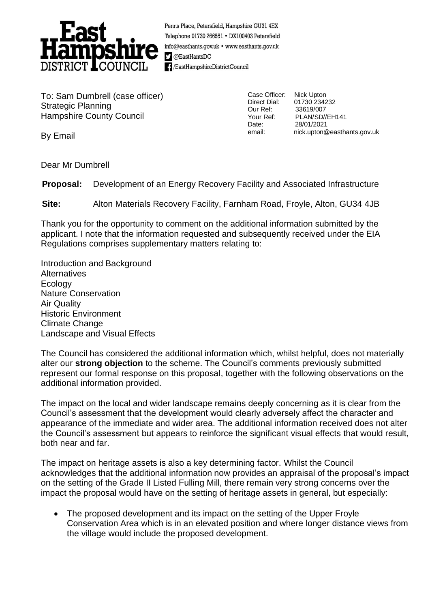

Penns Place, Petersfield, Hampshire GU31 4EX Telephone 01730 266551 · DX100403 Petersfield info@easthants.gov.uk • www.easthants.gov.uk  $\Box$  @EastHantsDC - / EastHampshireDistrictCouncil

To: Sam Dumbrell (case officer) Strategic Planning Hampshire County Council

Case Officer: Nick Upton Our Ref: 33619/007 Date: 28/01/2021

Direct Dial: 01730 234232 Your Ref: PLAN/SD//EH141 email: nick.upton@easthants.gov.uk

By Email

Dear Mr Dumbrell

**Proposal:** Development of an Energy Recovery Facility and Associated Infrastructure

**Site:** Alton Materials Recovery Facility, Farnham Road, Froyle, Alton, GU34 4JB

Thank you for the opportunity to comment on the additional information submitted by the applicant. I note that the information requested and subsequently received under the EIA Regulations comprises supplementary matters relating to:

Introduction and Background **Alternatives Ecology** Nature Conservation Air Quality Historic Environment Climate Change Landscape and Visual Effects

The Council has considered the additional information which, whilst helpful, does not materially alter our **strong objection** to the scheme. The Council's comments previously submitted represent our formal response on this proposal, together with the following observations on the additional information provided.

The impact on the local and wider landscape remains deeply concerning as it is clear from the Council's assessment that the development would clearly adversely affect the character and appearance of the immediate and wider area. The additional information received does not alter the Council's assessment but appears to reinforce the significant visual effects that would result, both near and far.

The impact on heritage assets is also a key determining factor. Whilst the Council acknowledges that the additional information now provides an appraisal of the proposal's impact on the setting of the Grade II Listed Fulling Mill, there remain very strong concerns over the impact the proposal would have on the setting of heritage assets in general, but especially:

• The proposed development and its impact on the setting of the Upper Froyle Conservation Area which is in an elevated position and where longer distance views from the village would include the proposed development.